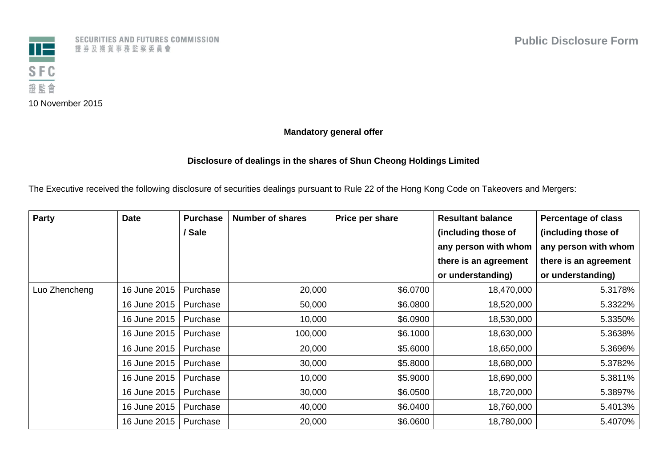

10 November 2015

SECURITIES AND FUTURES COMMISSION 證券及期貨事務監察委員會

**Mandatory general offer**

## **Disclosure of dealings in the shares of Shun Cheong Holdings Limited**

The Executive received the following disclosure of securities dealings pursuant to Rule 22 of the Hong Kong Code on Takeovers and Mergers:

| Party         | <b>Date</b>  | <b>Purchase</b> | <b>Number of shares</b> | Price per share | <b>Resultant balance</b> | <b>Percentage of class</b> |
|---------------|--------------|-----------------|-------------------------|-----------------|--------------------------|----------------------------|
|               |              | / Sale          |                         |                 | (including those of      | (including those of        |
|               |              |                 |                         |                 | any person with whom     | any person with whom       |
|               |              |                 |                         |                 | there is an agreement    | there is an agreement      |
|               |              |                 |                         |                 | or understanding)        | or understanding)          |
| Luo Zhencheng | 16 June 2015 | Purchase        | 20,000                  | \$6.0700        | 18,470,000               | 5.3178%                    |
|               | 16 June 2015 | Purchase        | 50,000                  | \$6.0800        | 18,520,000               | 5.3322%                    |
|               | 16 June 2015 | Purchase        | 10,000                  | \$6.0900        | 18,530,000               | 5.3350%                    |
|               | 16 June 2015 | Purchase        | 100,000                 | \$6.1000        | 18,630,000               | 5.3638%                    |
|               | 16 June 2015 | Purchase        | 20,000                  | \$5.6000        | 18,650,000               | 5.3696%                    |
|               | 16 June 2015 | Purchase        | 30,000                  | \$5.8000        | 18,680,000               | 5.3782%                    |
|               | 16 June 2015 | Purchase        | 10,000                  | \$5.9000        | 18,690,000               | 5.3811%                    |
|               | 16 June 2015 | Purchase        | 30,000                  | \$6.0500        | 18,720,000               | 5.3897%                    |
|               | 16 June 2015 | Purchase        | 40,000                  | \$6.0400        | 18,760,000               | 5.4013%                    |
|               | 16 June 2015 | Purchase        | 20,000                  | \$6.0600        | 18,780,000               | 5.4070%                    |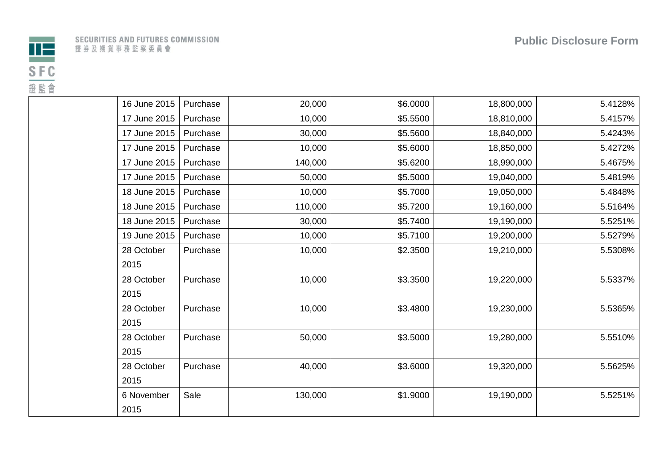

| 16 June 2015 | Purchase | 20,000  | \$6.0000 | 18,800,000 | 5.4128% |
|--------------|----------|---------|----------|------------|---------|
| 17 June 2015 | Purchase | 10,000  | \$5.5500 | 18,810,000 | 5.4157% |
| 17 June 2015 | Purchase | 30,000  | \$5.5600 | 18,840,000 | 5.4243% |
| 17 June 2015 | Purchase | 10,000  | \$5.6000 | 18,850,000 | 5.4272% |
| 17 June 2015 | Purchase | 140,000 | \$5.6200 | 18,990,000 | 5.4675% |
| 17 June 2015 | Purchase | 50,000  | \$5.5000 | 19,040,000 | 5.4819% |
| 18 June 2015 | Purchase | 10,000  | \$5.7000 | 19,050,000 | 5.4848% |
| 18 June 2015 | Purchase | 110,000 | \$5.7200 | 19,160,000 | 5.5164% |
| 18 June 2015 | Purchase | 30,000  | \$5.7400 | 19,190,000 | 5.5251% |
| 19 June 2015 | Purchase | 10,000  | \$5.7100 | 19,200,000 | 5.5279% |
| 28 October   | Purchase | 10,000  | \$2.3500 | 19,210,000 | 5.5308% |
| 2015         |          |         |          |            |         |
| 28 October   | Purchase | 10,000  | \$3.3500 | 19,220,000 | 5.5337% |
| 2015         |          |         |          |            |         |
| 28 October   | Purchase | 10,000  | \$3.4800 | 19,230,000 | 5.5365% |
| 2015         |          |         |          |            |         |
| 28 October   | Purchase | 50,000  | \$3.5000 | 19,280,000 | 5.5510% |
| 2015         |          |         |          |            |         |
| 28 October   | Purchase | 40,000  | \$3.6000 | 19,320,000 | 5.5625% |
| 2015         |          |         |          |            |         |
| 6 November   | Sale     | 130,000 | \$1.9000 | 19,190,000 | 5.5251% |
| 2015         |          |         |          |            |         |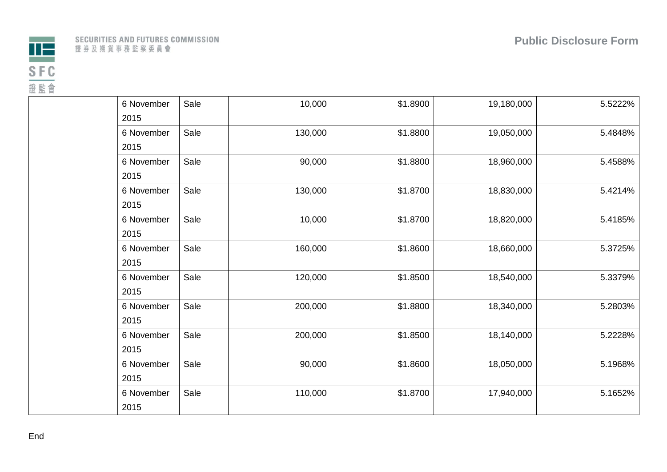

|  |              |  |  |  |  | SECURITIES AND FUTURES COMMISSION |
|--|--------------|--|--|--|--|-----------------------------------|
|  | 證券及期貨事務監察委員會 |  |  |  |  |                                   |

| 6 November | Sale | 10,000  | \$1.8900 | 19,180,000 | 5.5222% |
|------------|------|---------|----------|------------|---------|
| 2015       |      |         |          |            |         |
| 6 November | Sale | 130,000 | \$1.8800 | 19,050,000 | 5.4848% |
| 2015       |      |         |          |            |         |
| 6 November | Sale | 90,000  | \$1.8800 | 18,960,000 | 5.4588% |
| 2015       |      |         |          |            |         |
| 6 November | Sale | 130,000 | \$1.8700 | 18,830,000 | 5.4214% |
| 2015       |      |         |          |            |         |
| 6 November | Sale | 10,000  | \$1.8700 | 18,820,000 | 5.4185% |
| 2015       |      |         |          |            |         |
| 6 November | Sale | 160,000 | \$1.8600 | 18,660,000 | 5.3725% |
| 2015       |      |         |          |            |         |
| 6 November | Sale | 120,000 | \$1.8500 | 18,540,000 | 5.3379% |
| 2015       |      |         |          |            |         |
| 6 November | Sale | 200,000 | \$1.8800 | 18,340,000 | 5.2803% |
| 2015       |      |         |          |            |         |
| 6 November | Sale | 200,000 | \$1.8500 | 18,140,000 | 5.2228% |
| 2015       |      |         |          |            |         |
| 6 November | Sale | 90,000  | \$1.8600 | 18,050,000 | 5.1968% |
| 2015       |      |         |          |            |         |
| 6 November | Sale | 110,000 | \$1.8700 | 17,940,000 | 5.1652% |
| 2015       |      |         |          |            |         |